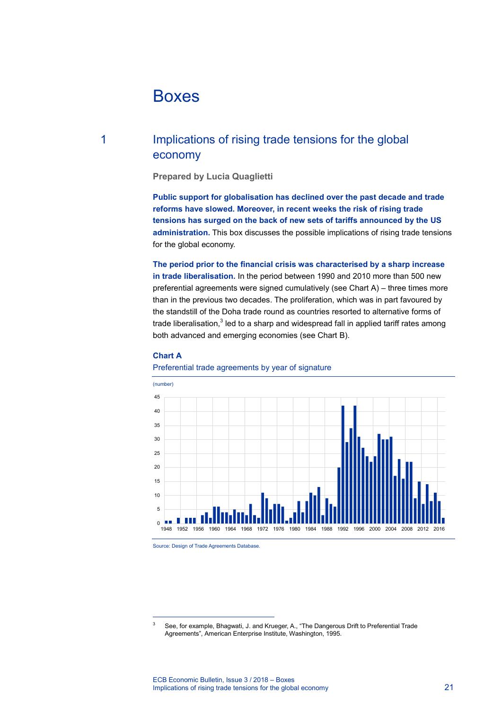# Boxes

# 1 Implications of rising trade tensions for the global economy

**Prepared by Lucia Quaglietti**

**Public support for globalisation has declined over the past decade and trade reforms have slowed. Moreover, in recent weeks the risk of rising trade tensions has surged on the back of new sets of tariffs announced by the US administration.** This box discusses the possible implications of rising trade tensions for the global economy.

**The period prior to the financial crisis was characterised by a sharp increase in trade liberalisation.** In the period between 1990 and 2010 more than 500 new preferential agreements were signed cumulatively (see Chart A) – three times more than in the previous two decades. The proliferation, which was in part favoured by the standstill of the Doha trade round as countries resorted to alternative forms of trade liberalisation, $3$  led to a sharp and widespread fall in applied tariff rates among both advanced and emerging economies (see Chart B).

# **Chart A**

# (number) 45 40 35 30 25 20 15 10 5 iн m 0 1948 1952 1956 1960 1964 1968 1972 1976 1980 1984 1988 1992 1996 2000 2004 2008 2012 2016

### Preferential trade agreements by year of signature

Source: Design of Trade Agreements Database.

-

<span id="page-0-0"></span><sup>3</sup> See, for example, Bhagwati, J. and Krueger, A., "The Dangerous Drift to Preferential Trade Agreements", American Enterprise Institute, Washington, 1995.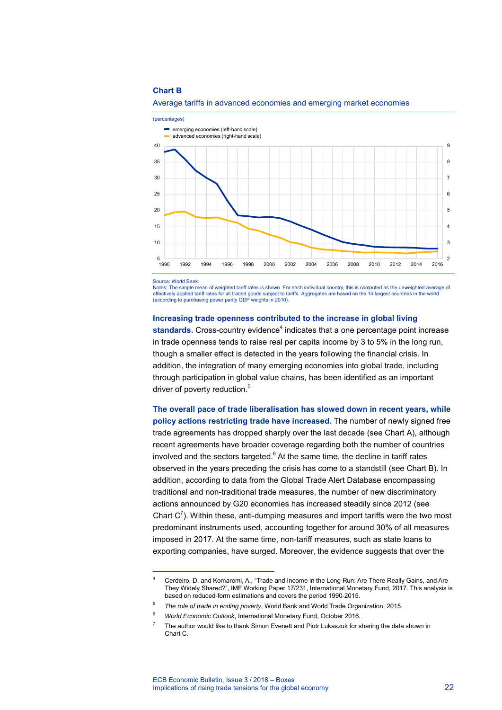#### **Chart B**



#### Average tariffs in advanced economies and emerging market economies

Source: World Bank.

-

Notes: The simple mean of weighted tariff rates is shown. For each individual country, this is computed as the unweighted average of effectively applied tariff rates for all traded goods subject to tariffs. Aggregates are based on the 14 largest countries in the world (according to purchasing power parity GDP weights in 2010).

#### **Increasing trade openness contributed to the increase in global living**

standards. Cross-country evidence<sup>[4](#page-1-0)</sup> indicates that a one percentage point increase in trade openness tends to raise real per capita income by 3 to 5% in the long run, though a smaller effect is detected in the years following the financial crisis. In addition, the integration of many emerging economies into global trade, including through participation in global value chains, has been identified as an important driver of poverty reduction.<sup>[5](#page-1-1)</sup>

**The overall pace of trade liberalisation has slowed down in recent years, while policy actions restricting trade have increased.** The number of newly signed free trade agreements has dropped sharply over the last decade (see Chart A), although recent agreements have broader coverage regarding both the number of countries involved and the sectors targeted.<sup>[6](#page-1-2)</sup> At the same time, the decline in tariff rates observed in the years preceding the crisis has come to a standstill (see Chart B). In addition, according to data from the Global Trade Alert Database encompassing traditional and non-traditional trade measures, the number of new discriminatory actions announced by G20 economies has increased steadily since 2012 (see Chart  $C<sup>7</sup>$  $C<sup>7</sup>$  $C<sup>7</sup>$ ). Within these, anti-dumping measures and import tariffs were the two most predominant instruments used, accounting together for around 30% of all measures imposed in 2017. At the same time, non-tariff measures, such as state loans to exporting companies, have surged. Moreover, the evidence suggests that over the

<span id="page-1-3"></span><span id="page-1-2"></span>6 *World Economic Outlook*, International Monetary Fund, October 2016.

<span id="page-1-0"></span><sup>4</sup> Cerdeiro, D. and Komaromi, A., "Trade and Income in the Long Run: Are There Really Gains, and Are They Widely Shared?", IMF Working Paper 17/231, International Monetary Fund, 2017. This analysis is based on reduced-form estimations and covers the period 1990-2015.

<span id="page-1-1"></span><sup>5</sup> *The role of trade in ending poverty*, World Bank and World Trade Organization, 2015.

<sup>7</sup> The author would like to thank Simon Evenett and Piotr Lukaszuk for sharing the data shown in Chart C.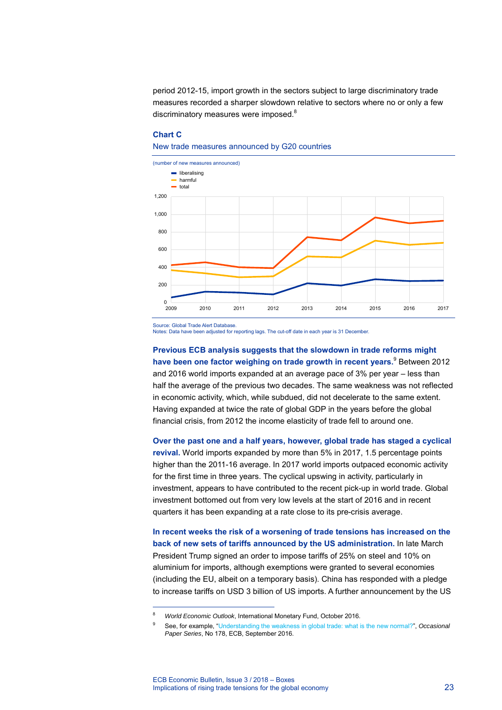period 2012-15, import growth in the sectors subject to large discriminatory trade measures recorded a sharper slowdown relative to sectors where no or only a few discriminatory measures were imposed.<sup>[8](#page-2-0)</sup>

# **Chart C**

#### New trade measures announced by G20 countries



Source: Global Trade Alert Database.

-

Notes: Data have been adjusted for reporting lags. The cut-off date in each year is 31 December.

**Previous ECB analysis suggests that the slowdown in trade reforms might have been one factor weighing on trade growth in recent years.** [9](#page-2-1) Between 2012 and 2016 world imports expanded at an average pace of 3% per year – less than half the average of the previous two decades. The same weakness was not reflected in economic activity, which, while subdued, did not decelerate to the same extent. Having expanded at twice the rate of global GDP in the years before the global financial crisis, from 2012 the income elasticity of trade fell to around one.

**Over the past one and a half years, however, global trade has staged a cyclical revival.** World imports expanded by more than 5% in 2017, 1.5 percentage points higher than the 2011-16 average. In 2017 world imports outpaced economic activity for the first time in three years. The cyclical upswing in activity, particularly in investment, appears to have contributed to the recent pick-up in world trade. Global investment bottomed out from very low levels at the start of 2016 and in recent quarters it has been expanding at a rate close to its pre-crisis average.

**In recent weeks the risk of a worsening of trade tensions has increased on the back of new sets of tariffs announced by the US administration.** In late March President Trump signed an order to impose tariffs of 25% on steel and 10% on aluminium for imports, although exemptions were granted to several economies (including the EU, albeit on a temporary basis). China has responded with a pledge to increase tariffs on USD 3 billion of US imports. A further announcement by the US

<span id="page-2-0"></span><sup>8</sup> *World Economic Outlook*, International Monetary Fund, October 2016.

<span id="page-2-1"></span><sup>9</sup> See, for example, ["Understanding the weakness in global trade: what is the new normal?"](https://www.ecb.europa.eu/pub/pdf/scpops/ecbop178.en.pdf), *Occasional Paper Series*, No 178, ECB, September 2016.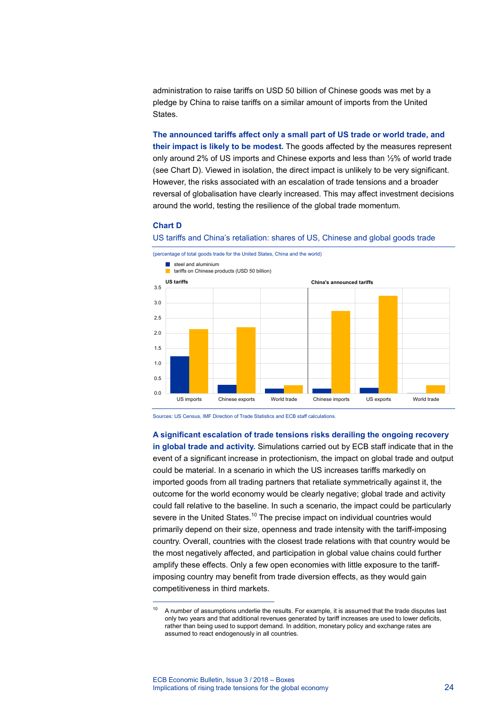administration to raise tariffs on USD 50 billion of Chinese goods was met by a pledge by China to raise tariffs on a similar amount of imports from the United States.

**The announced tariffs affect only a small part of US trade or world trade, and their impact is likely to be modest.** The goods affected by the measures represent only around 2% of US imports and Chinese exports and less than ½% of world trade (see Chart D). Viewed in isolation, the direct impact is unlikely to be very significant. However, the risks associated with an escalation of trade tensions and a broader reversal of globalisation have clearly increased. This may affect investment decisions around the world, testing the resilience of the global trade momentum.

### **Chart D**

-





Sources: US Census, IMF Direction of Trade Statistics and ECB staff calculations.

**A significant escalation of trade tensions risks derailing the ongoing recovery in global trade and activity.** Simulations carried out by ECB staff indicate that in the event of a significant increase in protectionism, the impact on global trade and output could be material. In a scenario in which the US increases tariffs markedly on imported goods from all trading partners that retaliate symmetrically against it, the outcome for the world economy would be clearly negative; global trade and activity could fall relative to the baseline. In such a scenario, the impact could be particularly severe in the United States.<sup>[10](#page-3-0)</sup> The precise impact on individual countries would primarily depend on their size, openness and trade intensity with the tariff-imposing country. Overall, countries with the closest trade relations with that country would be the most negatively affected, and participation in global value chains could further amplify these effects. Only a few open economies with little exposure to the tariffimposing country may benefit from trade diversion effects, as they would gain competitiveness in third markets.

<span id="page-3-0"></span><sup>&</sup>lt;sup>10</sup> A number of assumptions underlie the results. For example, it is assumed that the trade disputes last only two years and that additional revenues generated by tariff increases are used to lower deficits, rather than being used to support demand. In addition, monetary policy and exchange rates are assumed to react endogenously in all countries.